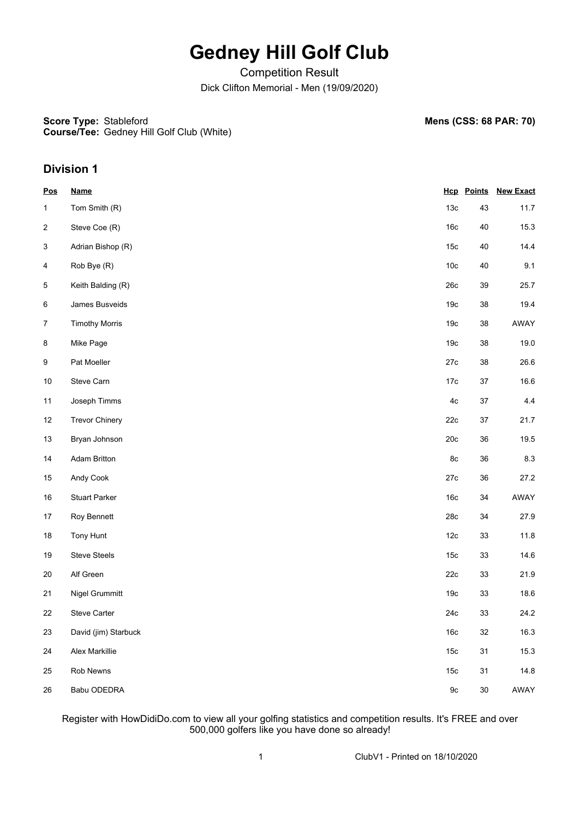# **Gedney Hill Golf Club**

Competition Result Dick Clifton Memorial - Men (19/09/2020)

**Score Type: Course/Tee:** Gedney Hill Golf Club (White) **Mens (CSS: 68 PAR: 70)** 

### **Division 1**

| <b>Pos</b>                | <b>Name</b>           |                 |        | <b>Hcp Points New Exact</b> |
|---------------------------|-----------------------|-----------------|--------|-----------------------------|
| 1                         | Tom Smith (R)         | 13 <sub>c</sub> | 43     | 11.7                        |
| $\overline{c}$            | Steve Coe (R)         | 16c             | $40\,$ | 15.3                        |
| $\ensuremath{\mathsf{3}}$ | Adrian Bishop (R)     | 15 <sub>c</sub> | 40     | 14.4                        |
| 4                         | Rob Bye (R)           | 10 <sub>c</sub> | $40\,$ | 9.1                         |
| 5                         | Keith Balding (R)     | 26c             | 39     | 25.7                        |
| 6                         | James Busveids        | 19 <sub>c</sub> | 38     | 19.4                        |
| $\overline{7}$            | <b>Timothy Morris</b> | 19 <sub>c</sub> | 38     | AWAY                        |
| $\bf 8$                   | Mike Page             | 19 <sub>c</sub> | 38     | 19.0                        |
| $\boldsymbol{9}$          | Pat Moeller           | 27c             | 38     | 26.6                        |
| 10                        | Steve Carn            | 17c             | $37\,$ | 16.6                        |
| 11                        | Joseph Timms          | $4\mathrm{c}$   | $37\,$ | 4.4                         |
| 12                        | <b>Trevor Chinery</b> | 22c             | 37     | 21.7                        |
| 13                        | Bryan Johnson         | 20c             | 36     | 19.5                        |
| 14                        | <b>Adam Britton</b>   | 8c              | 36     | $8.3\,$                     |
| 15                        | Andy Cook             | 27c             | 36     | 27.2                        |
| $16\,$                    | <b>Stuart Parker</b>  | 16c             | 34     | AWAY                        |
| 17                        | Roy Bennett           | 28c             | 34     | 27.9                        |
| 18                        | Tony Hunt             | 12c             | 33     | 11.8                        |
| 19                        | <b>Steve Steels</b>   | 15 <sub>c</sub> | 33     | 14.6                        |
| $20\,$                    | Alf Green             | 22c             | 33     | 21.9                        |
| 21                        | Nigel Grummitt        | 19 <sub>c</sub> | 33     | 18.6                        |
| 22                        | <b>Steve Carter</b>   | 24c             | 33     | 24.2                        |
| 23                        | David (jim) Starbuck  | 16c             | 32     | 16.3                        |
| 24                        | Alex Markillie        | 15 <sub>c</sub> | 31     | 15.3                        |
| 25                        | Rob Newns             | 15 <sub>c</sub> | 31     | 14.8                        |
| 26                        | Babu ODEDRA           | $9\mathrm{c}$   | $30\,$ | AWAY                        |

Register with HowDidiDo.com to view all your golfing statistics and competition results. It's FREE and over 500,000 golfers like you have done so already!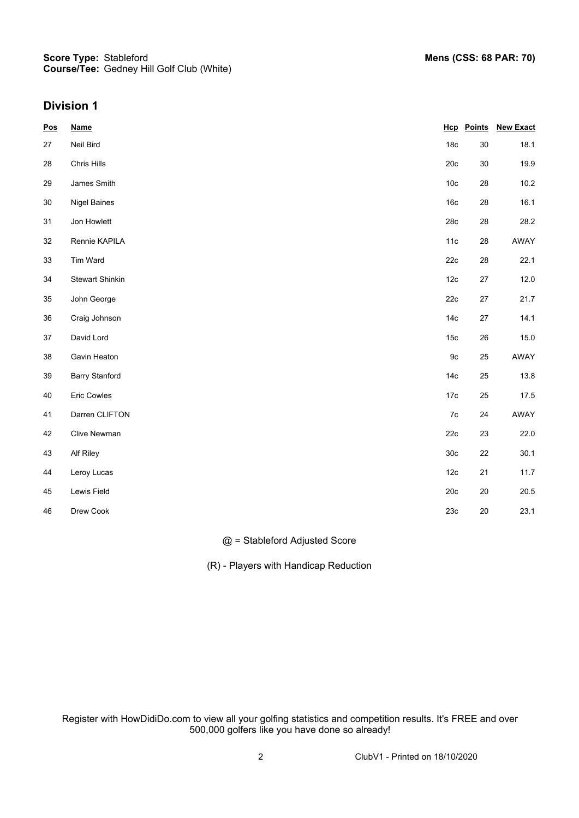### **Division 1**

| <b>Pos</b> | <b>Name</b>            |                 | <b>Hcp</b> Points | <b>New Exact</b> |
|------------|------------------------|-----------------|-------------------|------------------|
| 27         | Neil Bird              | 18 <sub>c</sub> | $30\,$            | 18.1             |
| 28         | Chris Hills            | 20c             | $30\,$            | 19.9             |
| 29         | James Smith            | 10 <sub>c</sub> | 28                | 10.2             |
| 30         | <b>Nigel Baines</b>    | 16 <sub>c</sub> | 28                | 16.1             |
| 31         | Jon Howlett            | 28c             | 28                | 28.2             |
| 32         | Rennie KAPILA          | 11c             | 28                | AWAY             |
| 33         | Tim Ward               | 22c             | 28                | 22.1             |
| 34         | <b>Stewart Shinkin</b> | 12c             | $27\,$            | 12.0             |
| 35         | John George            | 22c             | $27\,$            | 21.7             |
| 36         | Craig Johnson          | 14 <sub>c</sub> | 27                | 14.1             |
| 37         | David Lord             | 15 <sub>c</sub> | 26                | 15.0             |
| 38         | Gavin Heaton           | 9c              | 25                | AWAY             |
| 39         | <b>Barry Stanford</b>  | 14 <sub>c</sub> | 25                | 13.8             |
| 40         | Eric Cowles            | $17c$           | 25                | 17.5             |
| 41         | Darren CLIFTON         | $7\mathrm{c}$   | 24                | AWAY             |
| 42         | Clive Newman           | 22c             | 23                | 22.0             |
| 43         | Alf Riley              | 30 <sub>c</sub> | 22                | 30.1             |
| 44         | Leroy Lucas            | 12c             | 21                | 11.7             |
| 45         | Lewis Field            | 20c             | $20\,$            | $20.5\,$         |
| 46         | Drew Cook              | 23c             | $20\,$            | 23.1             |

#### @ = Stableford Adjusted Score

(R) - Players with Handicap Reduction

Register with HowDidiDo.com to view all your golfing statistics and competition results. It's FREE and over 500,000 golfers like you have done so already!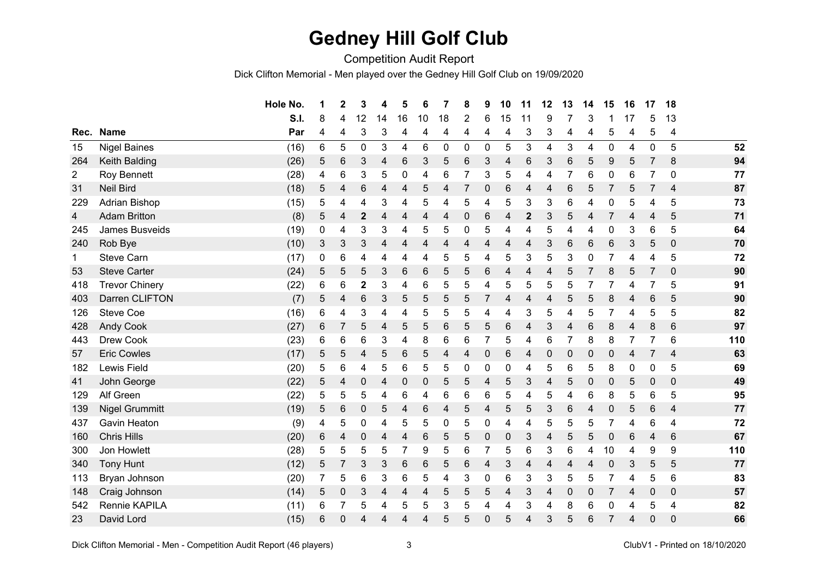## **Gedney Hill Golf Club**

Competition Audit Report

Dick Clifton Memorial - Men played over the Gedney Hill Golf Club on 19/09/2020

|              |                       | Hole No. | 1          | $\mathbf 2$               | 3                | 4              | 5  | 6         | $\overline{7}$ | 8 | 9 | 10 | 11               | 12 | 13             | 14        | 15          | 16 | 17              | 18              |     |
|--------------|-----------------------|----------|------------|---------------------------|------------------|----------------|----|-----------|----------------|---|---|----|------------------|----|----------------|-----------|-------------|----|-----------------|-----------------|-----|
|              |                       | S.I.     | 8          | 4                         | 12               | 14             | 16 | 10        | 18             | 2 | 6 | 15 | 11               | 9  |                | 3         |             | 17 | 5               | 13              |     |
| Rec.         | <b>Name</b>           | Par      | 4          | 4                         | 3                | 3              | 4  | 4         | 4              | 4 | 4 | 4  | 3                | 3  | 4              | 4         | 5           | 4  | 5               | 4               |     |
| 15           | <b>Nigel Baines</b>   | (16)     | 6          | 5                         | 0                | 3              | 4  | 6         | $\mathbf 0$    | 0 | 0 | 5  | 3                | 4  | 3              | 4         | 0           | 4  | $\mathbf 0$     | 5               | 52  |
| 264          | Keith Balding         | (26)     | 5          | 6                         | 3                | 4              | 6  | 3         | 5              | 6 | 3 | 4  | 6                | 3  | 6              | 5         | 9           | 5  | 7               | 8               | 94  |
| 2            | Roy Bennett           | (28)     | 4          | 6                         | 3                | 5              | 0  | 4         | 6              |   | 3 | 5  | 4                | 4  | $\overline{7}$ | 6         | 0           | 6  |                 | $\mathbf{0}$    | 77  |
| 31           | <b>Neil Bird</b>      | (18)     | 5          | 4                         | 6                | 4              | 4  | 5         | 4              |   | 0 | 6  | 4                | 4  | 6              | 5         | 7           | 5  | 7               | 4               | 87  |
| 229          | Adrian Bishop         | (15)     | 5          | 4                         | 4                | 3              | 4  | 5         | 4              | 5 | 4 | 5  | 3                | 3  | 6              | 4         | 0           | 5  | 4               | 5               | 73  |
| 4            | <b>Adam Britton</b>   | (8)      | 5          | 4                         | $\boldsymbol{2}$ | $\overline{4}$ | 4  | 4         | 4              | 0 | 6 | 4  | $\boldsymbol{2}$ | 3  | 5              | 4         | 7           | 4  | 4               | 5               | 71  |
| 245          | James Busveids        | (19)     | 0          | 4                         | 3                | 3              | 4  | 5         | 5              | 0 | 5 | 4  | 4                | 5  | 4              | 4         | $\mathbf 0$ | 3  | $\,6$           | 5               | 64  |
| 240          | Rob Bye               | (10)     | 3          | $\ensuremath{\mathsf{3}}$ | $\mathfrak{B}$   | 4              | 4  | 4         | 4              | 4 | 4 | 4  | 4                | 3  | 6              | $\,6$     | 6           | 3  | 5               | $\mathbf 0$     | 70  |
| $\mathbf{1}$ | <b>Steve Carn</b>     | (17)     | 0          | 6                         | 4                | 4              | 4  | 4         | 5              | 5 | 4 | 5  | 3                | 5  | 3              | 0         |             | 4  | 4               | 5               | 72  |
| 53           | <b>Steve Carter</b>   | (24)     | 5          | 5                         | 5                | 3              | 6  | 6         | 5              | 5 | 6 | 4  | 4                | 4  | 5              |           | 8           | 5  | 7               | $\mathbf 0$     | 90  |
| 418          | <b>Trevor Chinery</b> | (22)     | 6          | 6                         | $\mathbf{2}$     | 3              | 4  | 6         | 5              | 5 | 4 | 5  | 5                | 5  | 5              | 7         |             | 4  | 7               | 5               | 91  |
| 403          | Darren CLIFTON        | (7)      | 5          | 4                         | 6                | 3              | 5  | 5         | 5              | 5 | 7 | 4  | 4                | 4  | 5              | 5         | 8           | 4  | 6               | 5               | 90  |
| 126          | <b>Steve Coe</b>      | (16)     | 6          | 4                         | 3                | 4              | 4  | 5         | 5              | 5 | 4 | 4  | 3                | 5  | 4              | 5         |             | 4  | 5               | 5               | 82  |
| 428          | <b>Andy Cook</b>      | (27)     | 6          | 7                         | 5                | 4              | 5  | 5         | 6              | 5 | 5 | 6  | 4                | 3  | 4              | 6         | 8           | 4  | 8               | $6\phantom{1}6$ | 97  |
| 443          | Drew Cook             | (23)     | 6          | 6                         | 6                | 3              | 4  | 8         | 6              | 6 | 7 | 5  | 4                | 6  | $\overline{7}$ | 8         | 8           |    | 7               | 6               | 110 |
| 57           | <b>Eric Cowles</b>    | (17)     | $\sqrt{5}$ | $\mathbf 5$               | 4                | 5              | 6  | 5         | 4              | 4 | 0 | 6  | 4                | 0  | $\mathbf 0$    | 0         | $\mathbf 0$ | 4  | 7               | 4               | 63  |
| 182          | Lewis Field           | (20)     | 5          | 6                         | 4                | 5              | 6  | 5         | 5              | 0 | 0 | 0  | 4                | 5  | 6              | 5         | 8           | 0  | $\mathbf 0$     | 5               | 69  |
| 41           | John George           | (22)     | 5          | 4                         | $\pmb{0}$        | 4              | 0  | $\pmb{0}$ | 5              | 5 | 4 | 5  | 3                | 4  | 5              | $\pmb{0}$ | $\mathbf 0$ | 5  | $\mathbf 0$     | $\mathbf 0$     | 49  |
| 129          | Alf Green             | (22)     | 5          | 5                         | 5                | 4              | 6  | 4         | 6              | 6 | 6 | 5  | 4                | 5  | 4              | 6         | 8           | 5  | 6               | 5               | 95  |
| 139          | <b>Nigel Grummitt</b> | (19)     | 5          | 6                         | $\pmb{0}$        | 5              | 4  | 6         | 4              | 5 | 4 | 5  | 5                | 3  | 6              | 4         | 0           | 5  | $6\phantom{1}6$ | 4               | 77  |
| 437          | <b>Gavin Heaton</b>   | (9)      | 4          | 5                         | 0                | 4              | 5  | 5         | 0              | 5 | 0 | 4  | 4                | 5  | 5              | 5         | 7           | 4  | 6               | 4               | 72  |
| 160          | <b>Chris Hills</b>    | (20)     | 6          | 4                         | $\pmb{0}$        | 4              | 4  | 6         | 5              | 5 | 0 | 0  | 3                | 4  | 5              | 5         | $\mathbf 0$ | 6  | 4               | $6\phantom{1}6$ | 67  |
| 300          | Jon Howlett           | (28)     | 5          | 5                         | 5                | 5              | 7  | 9         | 5              | 6 |   | 5  | 6                | 3  | 6              | 4         | 10          | 4  | 9               | 9               | 110 |
| 340          | <b>Tony Hunt</b>      | (12)     | 5          | 7                         | 3                | 3              | 6  | 6         | 5              | 6 | 4 | 3  | 4                | 4  | 4              | 4         | $\mathbf 0$ | 3  | 5               | 5               | 77  |
| 113          | Bryan Johnson         | (20)     | 7          | 5                         | 6                | 3              | 6  | 5         | 4              | 3 | 0 | 6  | 3                | 3  | 5              | 5         |             | 4  | 5               | 6               | 83  |
| 148          | Craig Johnson         | (14)     | 5          | $\boldsymbol{0}$          | 3                | 4              | 4  | 4         | 5              | 5 | 5 | 4  | 3                | 4  | 0              | 0         |             | 4  | $\mathbf 0$     | $\mathbf 0$     | 57  |
| 542          | Rennie KAPILA         | (11)     | 6          | 7                         | 5                | 4              | 5  | 5         | 3              | 5 | 4 | 4  | 3                | 4  | 8              | 6         | $\mathbf 0$ | 4  | 5               | 4               | 82  |
| 23           | David Lord            | (15)     | 6          | $\mathbf{0}$              | 4                | Δ              | 4  | 4         | 5              | 5 | 0 | 5  | 4                | 3  | 5              | 6         | 7           | 4  | $\Omega$        | $\mathbf{0}$    | 66  |